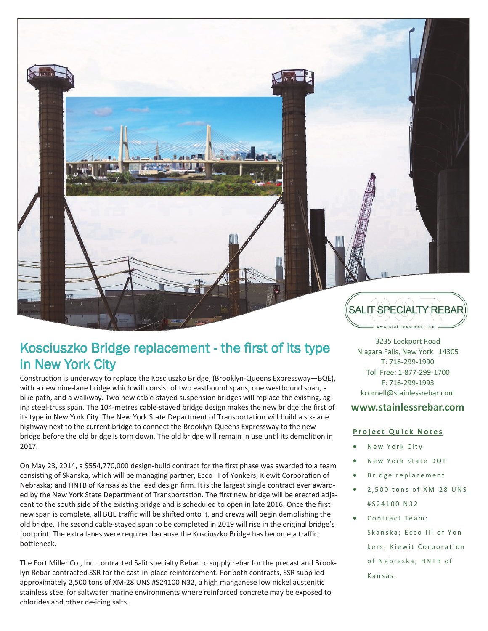

## Kosciuszko Bridge replacement - the first of its type in New York City

Construction is underway to replace the Kosciuszko Bridge, (Brooklyn-Queens Expressway—BQE), with a new nine-lane bridge which will consist of two eastbound spans, one westbound span, a bike path, and a walkway. Two new cable-stayed suspension bridges will replace the existing, aging steel-truss span. The 104-metres cable-stayed bridge design makes the new bridge the first of its type in New York City. The New York State Department of Transportation will build a six-lane highway next to the current bridge to connect the Brooklyn-Queens Expressway to the new bridge before the old bridge is torn down. The old bridge will remain in use until its demolition in 2017.

On May 23, 2014, a \$554,770,000 design-build contract for the first phase was awarded to a team consisting of Skanska, which will be managing partner, Ecco III of Yonkers; Kiewit Corporation of Nebraska; and HNTB of Kansas as the lead design firm. It is the largest single contract ever awarded by the New York State Department of Transportation. The first new bridge will be erected adjacent to the south side of the existing bridge and is scheduled to open in late 2016. Once the first new span is complete, all BQE traffic will be shifted onto it, and crews will begin demolishing the old bridge. The second cable-stayed span to be completed in 2019 will rise in the original bridge's footprint. The extra lanes were required because the Kosciuszko Bridge has become a traffic bottleneck.

The Fort Miller Co., Inc. contracted Salit specialty Rebar to supply rebar for the precast and Brooklyn Rebar contracted SSR for the cast-in-place reinforcement. For both contracts, SSR supplied approximately 2,500 tons of XM-28 UNS #S24100 N32, a high manganese low nickel austenitic stainless steel for saltwater marine environments where reinforced concrete may be exposed to chlorides and other de-icing salts.

3235 Lockport Road Niagara Falls, New York 14305 T: 716-299-1990 Toll Free: 1-877-299-1700 F: 716-299-1993 kcornell@stainlessrebar.com

## **www.stainlessrebar.com**

## **Project Quick Notes**

- New York City
- New York State DOT
- Bridge replacement
- 2,500 tons of XM-28 UNS # S 2 4 1 0 0 N 3 2
- Contract Team: Skanska: Ecco III of Yonkers; Kiewit Corporation of Nebraska; HNTB of Kansas.